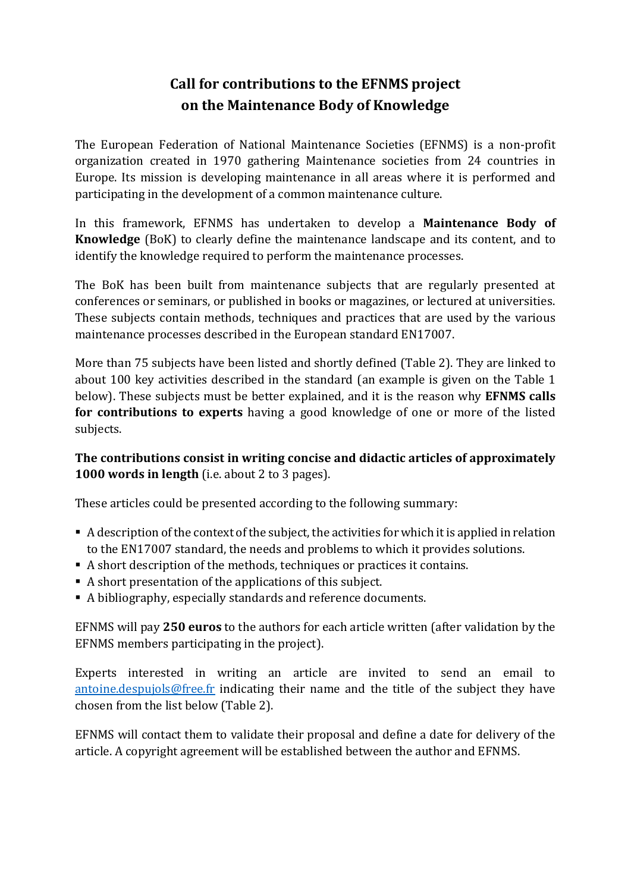## **Call for contributions to the EFNMS project on the Maintenance Body of Knowledge**

The European Federation of National Maintenance Societies (EFNMS) is a non-profit organization created in 1970 gathering Maintenance societies from 24 countries in Europe. Its mission is developing maintenance in all areas where it is performed and participating in the development of a common maintenance culture.

In this framework, EFNMS has undertaken to develop a **Maintenance Body of Knowledge** (BoK) to clearly define the maintenance landscape and its content, and to identify the knowledge required to perform the maintenance processes.

The BoK has been built from maintenance subjects that are regularly presented at conferences or seminars, or published in books or magazines, or lectured at universities. These subjects contain methods, techniques and practices that are used by the various maintenance processes described in the European standard EN17007.

More than 75 subjects have been listed and shortly defined (Table 2). They are linked to about 100 key activities described in the standard (an example is given on the Table 1 below). These subjects must be better explained, and it is the reason why **EFNMS calls for contributions to experts** having a good knowledge of one or more of the listed subjects.

## **The contributions consist in writing concise and didactic articles of approximately 1000 words in length** (i.e. about 2 to 3 pages).

These articles could be presented according to the following summary:

- A description of the context of the subject, the activities for which it is applied in relation to the EN17007 standard, the needs and problems to which it provides solutions.
- A short description of the methods, techniques or practices it contains.
- A short presentation of the applications of this subject.
- A bibliography, especially standards and reference documents.

EFNMS will pay **250 euros** to the authors for each article written (after validation by the EFNMS members participating in the project).

Experts interested in writing an article are invited to send an email to [antoine.despujols@free.fr](mailto:antoine.despujols@free.fr) indicating their name and the title of the subject they have chosen from the list below (Table 2).

EFNMS will contact them to validate their proposal and define a date for delivery of the article. A copyright agreement will be established between the author and EFNMS.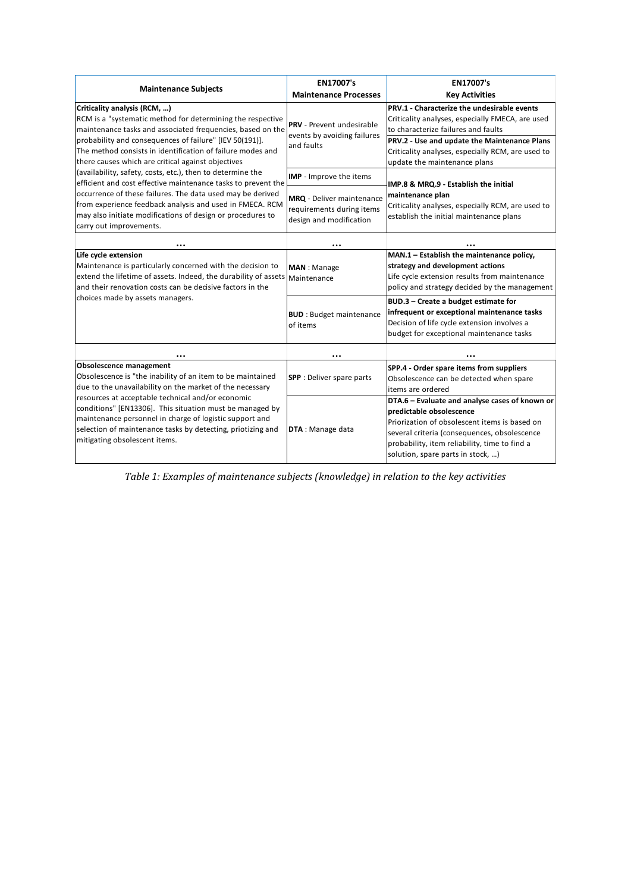| <b>Maintenance Subjects</b>                                                                                                                                                                                                                                                                                                             | EN17007's<br><b>Maintenance Processes</b>                                                | <b>EN17007's</b><br><b>Key Activities</b>                                                                                                                                                                                                                                   |
|-----------------------------------------------------------------------------------------------------------------------------------------------------------------------------------------------------------------------------------------------------------------------------------------------------------------------------------------|------------------------------------------------------------------------------------------|-----------------------------------------------------------------------------------------------------------------------------------------------------------------------------------------------------------------------------------------------------------------------------|
| Criticality analysis (RCM, )<br>RCM is a "systematic method for determining the respective<br>maintenance tasks and associated frequencies, based on the<br>probability and consequences of failure" [IEV 50(191)].<br>The method consists in identification of failure modes and<br>there causes which are critical against objectives | <b>PRV</b> - Prevent undesirable<br>events by avoiding failures<br>and faults            | PRV.1 - Characterize the undesirable events<br>Criticality analyses, especially FMECA, are used<br>to characterize failures and faults<br>PRV.2 - Use and update the Maintenance Plans<br>Criticality analyses, especially RCM, are used to<br>update the maintenance plans |
| (availability, safety, costs, etc.), then to determine the                                                                                                                                                                                                                                                                              | IMP - Improve the items                                                                  |                                                                                                                                                                                                                                                                             |
| efficient and cost effective maintenance tasks to prevent the<br>occurrence of these failures. The data used may be derived<br>from experience feedback analysis and used in FMECA. RCM<br>may also initiate modifications of design or procedures to<br>carry out improvements.                                                        | <b>MRQ</b> - Deliver maintenance<br>requirements during items<br>design and modification | IMP.8 & MRQ.9 - Establish the initial<br>maintenance plan<br>Criticality analyses, especially RCM, are used to<br>establish the initial maintenance plans                                                                                                                   |
| $\cdots$                                                                                                                                                                                                                                                                                                                                |                                                                                          |                                                                                                                                                                                                                                                                             |
| Life cycle extension<br>Maintenance is particularly concerned with the decision to<br>extend the lifetime of assets. Indeed, the durability of assets Maintenance<br>and their renovation costs can be decisive factors in the                                                                                                          | <b>MAN</b> : Manage                                                                      | MAN.1 - Establish the maintenance policy,<br>strategy and development actions<br>Life cycle extension results from maintenance<br>policy and strategy decided by the management                                                                                             |
| choices made by assets managers.                                                                                                                                                                                                                                                                                                        | <b>BUD</b> : Budget maintenance<br>of items                                              | BUD.3 - Create a budget estimate for<br>infrequent or exceptional maintenance tasks<br>Decision of life cycle extension involves a<br>budget for exceptional maintenance tasks                                                                                              |
|                                                                                                                                                                                                                                                                                                                                         | $\ddotsc$                                                                                |                                                                                                                                                                                                                                                                             |
| Obsolescence management<br>Obsolescence is "the inability of an item to be maintained<br>due to the unavailability on the market of the necessary                                                                                                                                                                                       | <b>SPP</b> : Deliver spare parts                                                         | SPP.4 - Order spare items from suppliers<br>Obsolescence can be detected when spare<br>items are ordered                                                                                                                                                                    |
| resources at acceptable technical and/or economic<br>conditions" [EN13306]. This situation must be managed by<br>maintenance personnel in charge of logistic support and<br>selection of maintenance tasks by detecting, priotizing and<br>mitigating obsolescent items.                                                                | DTA: Manage data                                                                         | DTA.6 - Evaluate and analyse cases of known or<br>predictable obsolescence<br>Priorization of obsolescent items is based on<br>several criteria (consequences, obsolescence<br>probability, item reliability, time to find a<br>solution, spare parts in stock, )           |

*Table 1: Examples of maintenance subjects (knowledge) in relation to the key activities*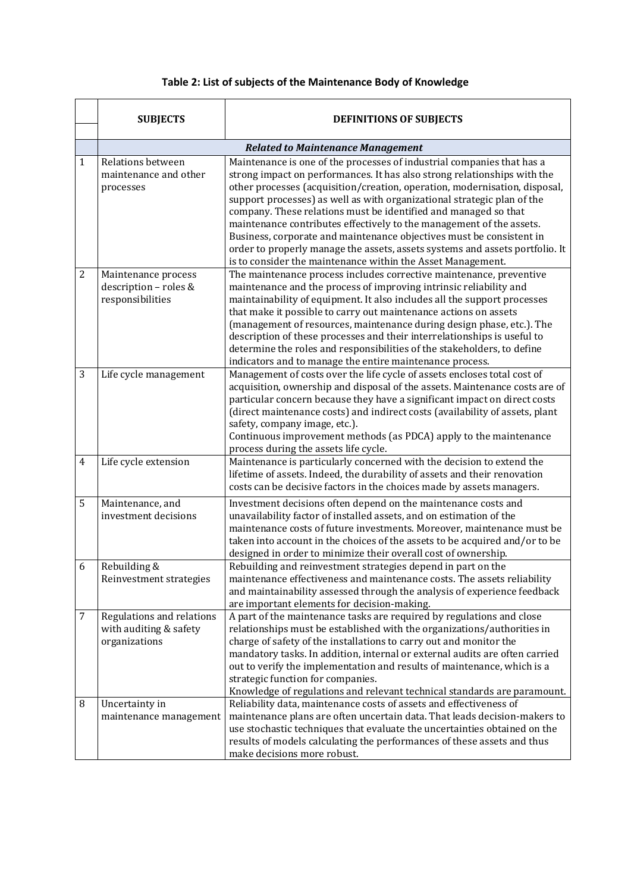## **Table 2: List of subjects of the Maintenance Body of Knowledge**

|                | <b>SUBJECTS</b>                                                      | <b>DEFINITIONS OF SUBJECTS</b>                                                                                                                                                                                                                                                                                                                                                                                                                                                                                                                                                                                                                                                |
|----------------|----------------------------------------------------------------------|-------------------------------------------------------------------------------------------------------------------------------------------------------------------------------------------------------------------------------------------------------------------------------------------------------------------------------------------------------------------------------------------------------------------------------------------------------------------------------------------------------------------------------------------------------------------------------------------------------------------------------------------------------------------------------|
|                |                                                                      | <b>Related to Maintenance Management</b>                                                                                                                                                                                                                                                                                                                                                                                                                                                                                                                                                                                                                                      |
| $\mathbf{1}$   | Relations between<br>maintenance and other<br>processes              | Maintenance is one of the processes of industrial companies that has a<br>strong impact on performances. It has also strong relationships with the<br>other processes (acquisition/creation, operation, modernisation, disposal,<br>support processes) as well as with organizational strategic plan of the<br>company. These relations must be identified and managed so that<br>maintenance contributes effectively to the management of the assets.<br>Business, corporate and maintenance objectives must be consistent in<br>order to properly manage the assets, assets systems and assets portfolio. It<br>is to consider the maintenance within the Asset Management. |
| $\overline{2}$ | Maintenance process<br>description - roles &<br>responsibilities     | The maintenance process includes corrective maintenance, preventive<br>maintenance and the process of improving intrinsic reliability and<br>maintainability of equipment. It also includes all the support processes<br>that make it possible to carry out maintenance actions on assets<br>(management of resources, maintenance during design phase, etc.). The<br>description of these processes and their interrelationships is useful to<br>determine the roles and responsibilities of the stakeholders, to define<br>indicators and to manage the entire maintenance process.                                                                                         |
| 3              | Life cycle management                                                | Management of costs over the life cycle of assets encloses total cost of<br>acquisition, ownership and disposal of the assets. Maintenance costs are of<br>particular concern because they have a significant impact on direct costs<br>(direct maintenance costs) and indirect costs (availability of assets, plant<br>safety, company image, etc.).<br>Continuous improvement methods (as PDCA) apply to the maintenance<br>process during the assets life cycle.                                                                                                                                                                                                           |
| $\overline{4}$ | Life cycle extension                                                 | Maintenance is particularly concerned with the decision to extend the<br>lifetime of assets. Indeed, the durability of assets and their renovation<br>costs can be decisive factors in the choices made by assets managers.                                                                                                                                                                                                                                                                                                                                                                                                                                                   |
| 5              | Maintenance, and<br>investment decisions                             | Investment decisions often depend on the maintenance costs and<br>unavailability factor of installed assets, and on estimation of the<br>maintenance costs of future investments. Moreover, maintenance must be<br>taken into account in the choices of the assets to be acquired and/or to be<br>designed in order to minimize their overall cost of ownership.                                                                                                                                                                                                                                                                                                              |
| 6              | Rebuilding &<br>Reinvestment strategies                              | Rebuilding and reinvestment strategies depend in part on the<br>maintenance effectiveness and maintenance costs. The assets reliability<br>and maintainability assessed through the analysis of experience feedback<br>are important elements for decision-making.                                                                                                                                                                                                                                                                                                                                                                                                            |
| 7              | Regulations and relations<br>with auditing & safety<br>organizations | A part of the maintenance tasks are required by regulations and close<br>relationships must be established with the organizations/authorities in<br>charge of safety of the installations to carry out and monitor the<br>mandatory tasks. In addition, internal or external audits are often carried<br>out to verify the implementation and results of maintenance, which is a<br>strategic function for companies.<br>Knowledge of regulations and relevant technical standards are paramount.                                                                                                                                                                             |
| 8              | Uncertainty in<br>maintenance management                             | Reliability data, maintenance costs of assets and effectiveness of<br>maintenance plans are often uncertain data. That leads decision-makers to<br>use stochastic techniques that evaluate the uncertainties obtained on the<br>results of models calculating the performances of these assets and thus<br>make decisions more robust.                                                                                                                                                                                                                                                                                                                                        |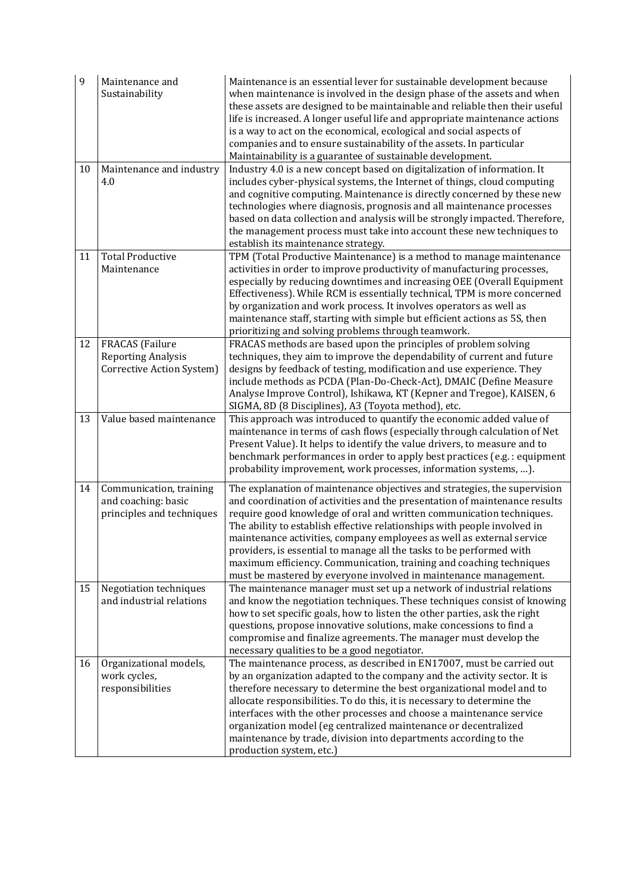| 9  | Maintenance and<br>Sustainability                                                | Maintenance is an essential lever for sustainable development because<br>when maintenance is involved in the design phase of the assets and when<br>these assets are designed to be maintainable and reliable then their useful<br>life is increased. A longer useful life and appropriate maintenance actions<br>is a way to act on the economical, ecological and social aspects of<br>companies and to ensure sustainability of the assets. In particular<br>Maintainability is a guarantee of sustainable development.                                                                              |
|----|----------------------------------------------------------------------------------|---------------------------------------------------------------------------------------------------------------------------------------------------------------------------------------------------------------------------------------------------------------------------------------------------------------------------------------------------------------------------------------------------------------------------------------------------------------------------------------------------------------------------------------------------------------------------------------------------------|
| 10 | Maintenance and industry<br>4.0                                                  | Industry 4.0 is a new concept based on digitalization of information. It<br>includes cyber-physical systems, the Internet of things, cloud computing<br>and cognitive computing. Maintenance is directly concerned by these new<br>technologies where diagnosis, prognosis and all maintenance processes<br>based on data collection and analysis will be strongly impacted. Therefore,<br>the management process must take into account these new techniques to<br>establish its maintenance strategy.                                                                                                 |
| 11 | <b>Total Productive</b><br>Maintenance                                           | TPM (Total Productive Maintenance) is a method to manage maintenance<br>activities in order to improve productivity of manufacturing processes,<br>especially by reducing downtimes and increasing OEE (Overall Equipment<br>Effectiveness). While RCM is essentially technical, TPM is more concerned<br>by organization and work process. It involves operators as well as<br>maintenance staff, starting with simple but efficient actions as 5S, then<br>prioritizing and solving problems through teamwork.                                                                                        |
| 12 | <b>FRACAS</b> (Failure<br><b>Reporting Analysis</b><br>Corrective Action System) | FRACAS methods are based upon the principles of problem solving<br>techniques, they aim to improve the dependability of current and future<br>designs by feedback of testing, modification and use experience. They<br>include methods as PCDA (Plan-Do-Check-Act), DMAIC (Define Measure<br>Analyse Improve Control), Ishikawa, KT (Kepner and Tregoe), KAISEN, 6<br>SIGMA, 8D (8 Disciplines), A3 (Toyota method), etc.                                                                                                                                                                               |
| 13 | Value based maintenance                                                          | This approach was introduced to quantify the economic added value of<br>maintenance in terms of cash flows (especially through calculation of Net<br>Present Value). It helps to identify the value drivers, to measure and to<br>benchmark performances in order to apply best practices (e.g.: equipment<br>probability improvement, work processes, information systems, ).                                                                                                                                                                                                                          |
| 14 | Communication, training<br>and coaching: basic<br>principles and techniques      | The explanation of maintenance objectives and strategies, the supervision<br>and coordination of activities and the presentation of maintenance results<br>require good knowledge of oral and written communication techniques.<br>The ability to establish effective relationships with people involved in<br>maintenance activities, company employees as well as external service<br>providers, is essential to manage all the tasks to be performed with<br>maximum efficiency. Communication, training and coaching techniques<br>must be mastered by everyone involved in maintenance management. |
| 15 | Negotiation techniques<br>and industrial relations                               | The maintenance manager must set up a network of industrial relations<br>and know the negotiation techniques. These techniques consist of knowing<br>how to set specific goals, how to listen the other parties, ask the right<br>questions, propose innovative solutions, make concessions to find a<br>compromise and finalize agreements. The manager must develop the<br>necessary qualities to be a good negotiator.                                                                                                                                                                               |
| 16 | Organizational models,<br>work cycles,<br>responsibilities                       | The maintenance process, as described in EN17007, must be carried out<br>by an organization adapted to the company and the activity sector. It is<br>therefore necessary to determine the best organizational model and to<br>allocate responsibilities. To do this, it is necessary to determine the<br>interfaces with the other processes and choose a maintenance service<br>organization model (eg centralized maintenance or decentralized<br>maintenance by trade, division into departments according to the<br>production system, etc.)                                                        |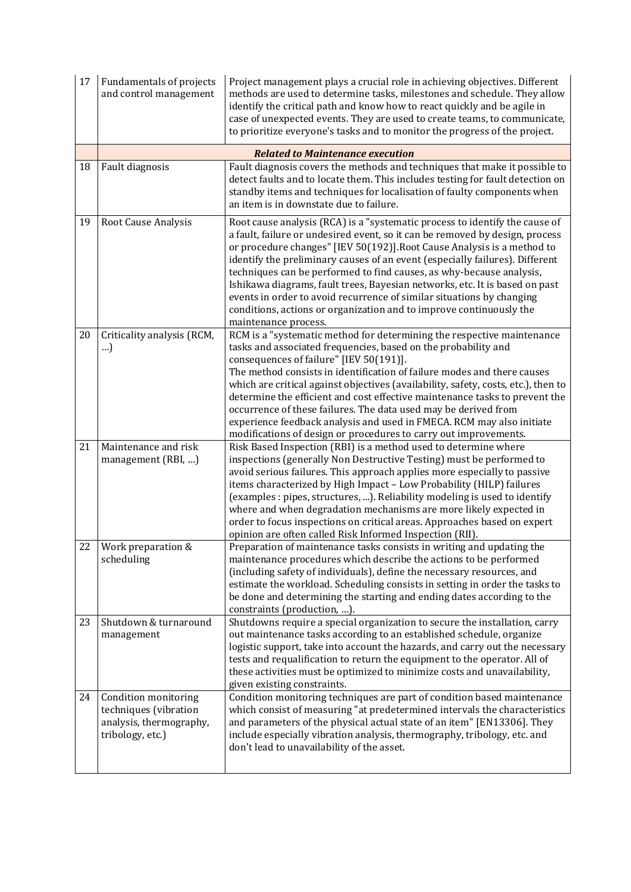| 17 | Fundamentals of projects<br>and control management                                           | Project management plays a crucial role in achieving objectives. Different<br>methods are used to determine tasks, milestones and schedule. They allow<br>identify the critical path and know how to react quickly and be agile in<br>case of unexpected events. They are used to create teams, to communicate,<br>to prioritize everyone's tasks and to monitor the progress of the project.                                                                                                                                                                                                                                                         |
|----|----------------------------------------------------------------------------------------------|-------------------------------------------------------------------------------------------------------------------------------------------------------------------------------------------------------------------------------------------------------------------------------------------------------------------------------------------------------------------------------------------------------------------------------------------------------------------------------------------------------------------------------------------------------------------------------------------------------------------------------------------------------|
|    |                                                                                              | <b>Related to Maintenance execution</b>                                                                                                                                                                                                                                                                                                                                                                                                                                                                                                                                                                                                               |
| 18 | Fault diagnosis                                                                              | Fault diagnosis covers the methods and techniques that make it possible to<br>detect faults and to locate them. This includes testing for fault detection on<br>standby items and techniques for localisation of faulty components when<br>an item is in downstate due to failure.                                                                                                                                                                                                                                                                                                                                                                    |
| 19 | Root Cause Analysis                                                                          | Root cause analysis (RCA) is a "systematic process to identify the cause of<br>a fault, failure or undesired event, so it can be removed by design, process<br>or procedure changes" [IEV 50(192)]. Root Cause Analysis is a method to<br>identify the preliminary causes of an event (especially failures). Different<br>techniques can be performed to find causes, as why-because analysis,<br>Ishikawa diagrams, fault trees, Bayesian networks, etc. It is based on past<br>events in order to avoid recurrence of similar situations by changing<br>conditions, actions or organization and to improve continuously the<br>maintenance process. |
| 20 | Criticality analysis (RCM,<br>)                                                              | RCM is a "systematic method for determining the respective maintenance<br>tasks and associated frequencies, based on the probability and<br>consequences of failure" [IEV 50(191)].<br>The method consists in identification of failure modes and there causes<br>which are critical against objectives (availability, safety, costs, etc.), then to<br>determine the efficient and cost effective maintenance tasks to prevent the<br>occurrence of these failures. The data used may be derived from<br>experience feedback analysis and used in FMECA. RCM may also initiate<br>modifications of design or procedures to carry out improvements.   |
| 21 | Maintenance and risk<br>management (RBI, )                                                   | Risk Based Inspection (RBI) is a method used to determine where<br>inspections (generally Non Destructive Testing) must be performed to<br>avoid serious failures. This approach applies more especially to passive<br>items characterized by High Impact - Low Probability (HILP) failures<br>(examples: pipes, structures, ). Reliability modeling is used to identify<br>where and when degradation mechanisms are more likely expected in<br>order to focus inspections on critical areas. Approaches based on expert<br>opinion are often called Risk Informed Inspection (RII).                                                                 |
| 22 | Work preparation &<br>scheduling                                                             | Preparation of maintenance tasks consists in writing and updating the<br>maintenance procedures which describe the actions to be performed<br>(including safety of individuals), define the necessary resources, and<br>estimate the workload. Scheduling consists in setting in order the tasks to<br>be done and determining the starting and ending dates according to the<br>constraints (production, ).                                                                                                                                                                                                                                          |
| 23 | Shutdown & turnaround<br>management                                                          | Shutdowns require a special organization to secure the installation, carry<br>out maintenance tasks according to an established schedule, organize<br>logistic support, take into account the hazards, and carry out the necessary<br>tests and requalification to return the equipment to the operator. All of<br>these activities must be optimized to minimize costs and unavailability,<br>given existing constraints.                                                                                                                                                                                                                            |
| 24 | Condition monitoring<br>techniques (vibration<br>analysis, thermography,<br>tribology, etc.) | Condition monitoring techniques are part of condition based maintenance<br>which consist of measuring "at predetermined intervals the characteristics<br>and parameters of the physical actual state of an item" [EN13306]. They<br>include especially vibration analysis, thermography, tribology, etc. and<br>don't lead to unavailability of the asset.                                                                                                                                                                                                                                                                                            |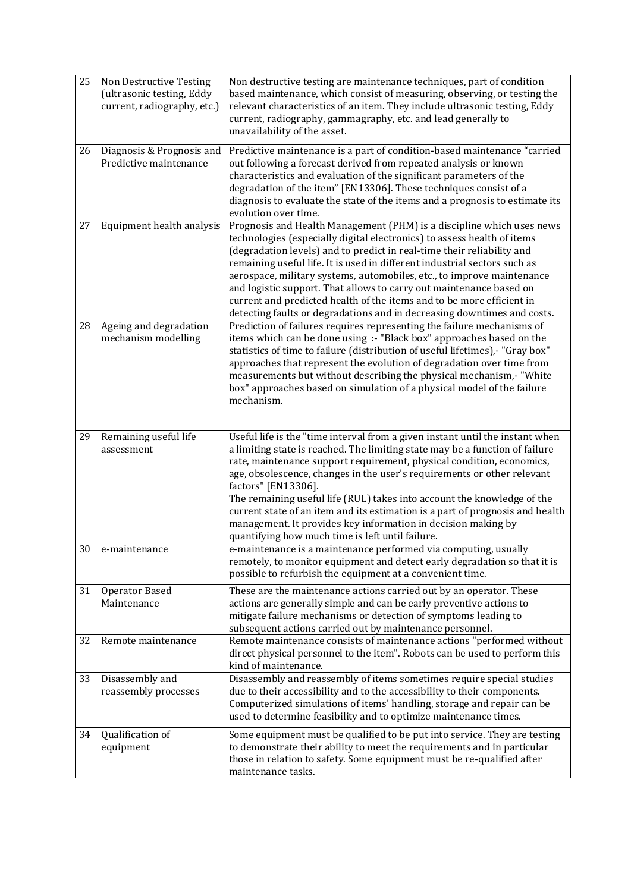| 25 | Non Destructive Testing<br>(ultrasonic testing, Eddy<br>current, radiography, etc.) | Non destructive testing are maintenance techniques, part of condition<br>based maintenance, which consist of measuring, observing, or testing the<br>relevant characteristics of an item. They include ultrasonic testing, Eddy<br>current, radiography, gammagraphy, etc. and lead generally to<br>unavailability of the asset.                                                                                                                                                                                                                                                                                          |
|----|-------------------------------------------------------------------------------------|---------------------------------------------------------------------------------------------------------------------------------------------------------------------------------------------------------------------------------------------------------------------------------------------------------------------------------------------------------------------------------------------------------------------------------------------------------------------------------------------------------------------------------------------------------------------------------------------------------------------------|
| 26 | Diagnosis & Prognosis and<br>Predictive maintenance                                 | Predictive maintenance is a part of condition-based maintenance "carried<br>out following a forecast derived from repeated analysis or known<br>characteristics and evaluation of the significant parameters of the<br>degradation of the item" [EN13306]. These techniques consist of a<br>diagnosis to evaluate the state of the items and a prognosis to estimate its<br>evolution over time.                                                                                                                                                                                                                          |
| 27 | Equipment health analysis                                                           | Prognosis and Health Management (PHM) is a discipline which uses news<br>technologies (especially digital electronics) to assess health of items<br>(degradation levels) and to predict in real-time their reliability and<br>remaining useful life. It is used in different industrial sectors such as<br>aerospace, military systems, automobiles, etc., to improve maintenance<br>and logistic support. That allows to carry out maintenance based on<br>current and predicted health of the items and to be more efficient in<br>detecting faults or degradations and in decreasing downtimes and costs.              |
| 28 | Ageing and degradation<br>mechanism modelling                                       | Prediction of failures requires representing the failure mechanisms of<br>items which can be done using :- "Black box" approaches based on the<br>statistics of time to failure (distribution of useful lifetimes),- "Gray box"<br>approaches that represent the evolution of degradation over time from<br>measurements but without describing the physical mechanism,- "White<br>box" approaches based on simulation of a physical model of the failure<br>mechanism.                                                                                                                                                   |
| 29 | Remaining useful life<br>assessment                                                 | Useful life is the "time interval from a given instant until the instant when<br>a limiting state is reached. The limiting state may be a function of failure<br>rate, maintenance support requirement, physical condition, economics,<br>age, obsolescence, changes in the user's requirements or other relevant<br>factors" [EN13306].<br>The remaining useful life (RUL) takes into account the knowledge of the<br>current state of an item and its estimation is a part of prognosis and health<br>management. It provides key information in decision making by<br>quantifying how much time is left until failure. |
| 30 | e-maintenance                                                                       | e-maintenance is a maintenance performed via computing, usually<br>remotely, to monitor equipment and detect early degradation so that it is<br>possible to refurbish the equipment at a convenient time.                                                                                                                                                                                                                                                                                                                                                                                                                 |
| 31 | Operator Based<br>Maintenance                                                       | These are the maintenance actions carried out by an operator. These<br>actions are generally simple and can be early preventive actions to<br>mitigate failure mechanisms or detection of symptoms leading to<br>subsequent actions carried out by maintenance personnel.                                                                                                                                                                                                                                                                                                                                                 |
| 32 | Remote maintenance                                                                  | Remote maintenance consists of maintenance actions "performed without<br>direct physical personnel to the item". Robots can be used to perform this<br>kind of maintenance.                                                                                                                                                                                                                                                                                                                                                                                                                                               |
| 33 | Disassembly and<br>reassembly processes                                             | Disassembly and reassembly of items sometimes require special studies<br>due to their accessibility and to the accessibility to their components.<br>Computerized simulations of items' handling, storage and repair can be<br>used to determine feasibility and to optimize maintenance times.                                                                                                                                                                                                                                                                                                                           |
| 34 | Qualification of<br>equipment                                                       | Some equipment must be qualified to be put into service. They are testing<br>to demonstrate their ability to meet the requirements and in particular<br>those in relation to safety. Some equipment must be re-qualified after<br>maintenance tasks.                                                                                                                                                                                                                                                                                                                                                                      |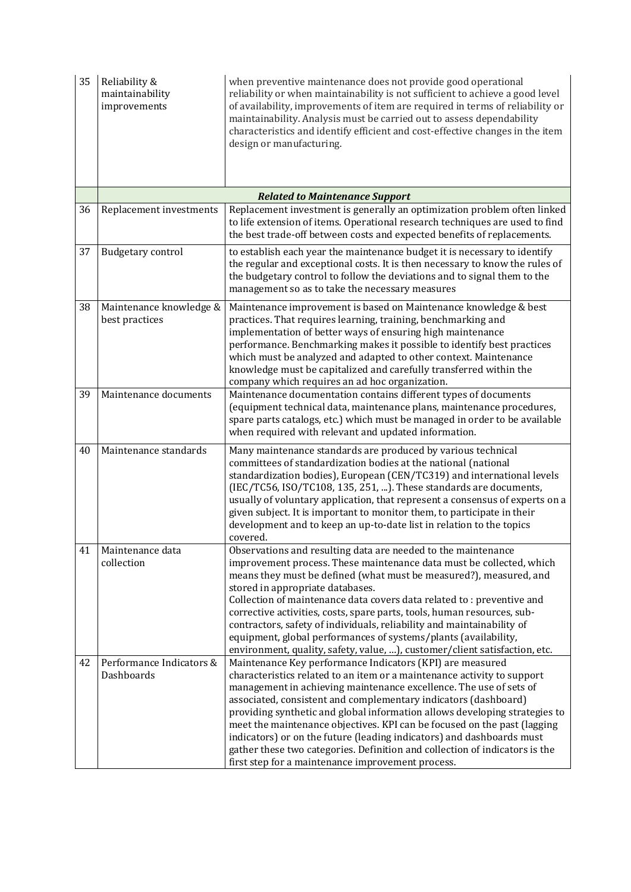| 35 | Reliability &<br>maintainability<br>improvements | when preventive maintenance does not provide good operational<br>reliability or when maintainability is not sufficient to achieve a good level<br>of availability, improvements of item are required in terms of reliability or<br>maintainability. Analysis must be carried out to assess dependability<br>characteristics and identify efficient and cost-effective changes in the item<br>design or manufacturing.                                                                                                                                                                                                                                |
|----|--------------------------------------------------|------------------------------------------------------------------------------------------------------------------------------------------------------------------------------------------------------------------------------------------------------------------------------------------------------------------------------------------------------------------------------------------------------------------------------------------------------------------------------------------------------------------------------------------------------------------------------------------------------------------------------------------------------|
|    |                                                  | <b>Related to Maintenance Support</b>                                                                                                                                                                                                                                                                                                                                                                                                                                                                                                                                                                                                                |
| 36 | Replacement investments                          | Replacement investment is generally an optimization problem often linked<br>to life extension of items. Operational research techniques are used to find<br>the best trade-off between costs and expected benefits of replacements.                                                                                                                                                                                                                                                                                                                                                                                                                  |
| 37 | Budgetary control                                | to establish each year the maintenance budget it is necessary to identify<br>the regular and exceptional costs. It is then necessary to know the rules of<br>the budgetary control to follow the deviations and to signal them to the<br>management so as to take the necessary measures                                                                                                                                                                                                                                                                                                                                                             |
| 38 | Maintenance knowledge &<br>best practices        | Maintenance improvement is based on Maintenance knowledge & best<br>practices. That requires learning, training, benchmarking and<br>implementation of better ways of ensuring high maintenance<br>performance. Benchmarking makes it possible to identify best practices<br>which must be analyzed and adapted to other context. Maintenance<br>knowledge must be capitalized and carefully transferred within the<br>company which requires an ad hoc organization.                                                                                                                                                                                |
| 39 | Maintenance documents                            | Maintenance documentation contains different types of documents<br>(equipment technical data, maintenance plans, maintenance procedures,<br>spare parts catalogs, etc.) which must be managed in order to be available<br>when required with relevant and updated information.                                                                                                                                                                                                                                                                                                                                                                       |
| 40 | Maintenance standards                            | Many maintenance standards are produced by various technical<br>committees of standardization bodies at the national (national<br>standardization bodies), European (CEN/TC319) and international levels<br>(IEC/TC56, ISO/TC108, 135, 251, ). These standards are documents,<br>usually of voluntary application, that represent a consensus of experts on a<br>given subject. It is important to monitor them, to participate in their<br>development and to keep an up-to-date list in relation to the topics<br>covered.                                                                                                                         |
| 41 | Maintenance data<br>collection                   | Observations and resulting data are needed to the maintenance<br>improvement process. These maintenance data must be collected, which<br>means they must be defined (what must be measured?), measured, and<br>stored in appropriate databases.<br>Collection of maintenance data covers data related to: preventive and<br>corrective activities, costs, spare parts, tools, human resources, sub-<br>contractors, safety of individuals, reliability and maintainability of<br>equipment, global performances of systems/plants (availability,<br>environment, quality, safety, value, ), customer/client satisfaction, etc.                       |
| 42 | Performance Indicators &<br>Dashboards           | Maintenance Key performance Indicators (KPI) are measured<br>characteristics related to an item or a maintenance activity to support<br>management in achieving maintenance excellence. The use of sets of<br>associated, consistent and complementary indicators (dashboard)<br>providing synthetic and global information allows developing strategies to<br>meet the maintenance objectives. KPI can be focused on the past (lagging<br>indicators) or on the future (leading indicators) and dashboards must<br>gather these two categories. Definition and collection of indicators is the<br>first step for a maintenance improvement process. |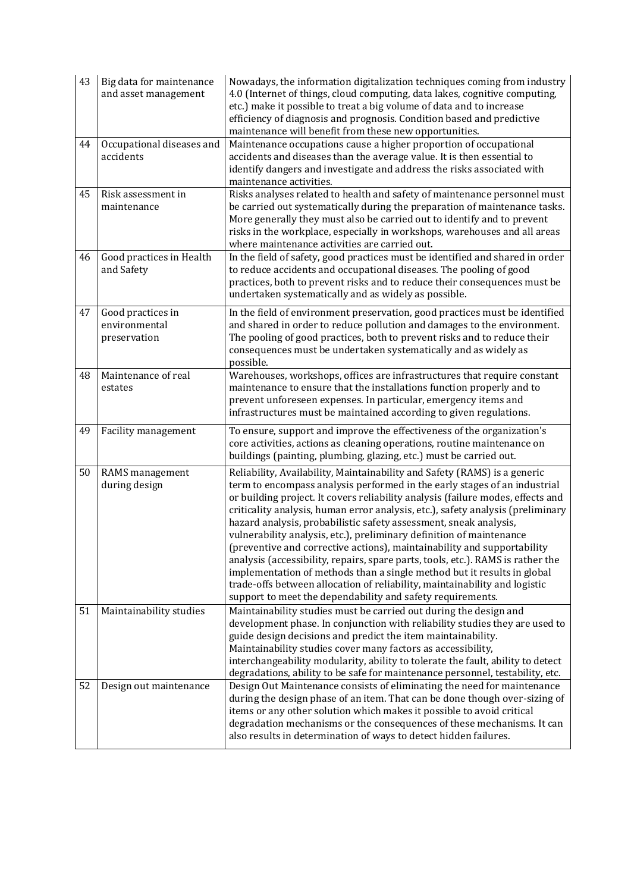| 43 | Big data for maintenance<br>and asset management   | Nowadays, the information digitalization techniques coming from industry<br>4.0 (Internet of things, cloud computing, data lakes, cognitive computing,<br>etc.) make it possible to treat a big volume of data and to increase<br>efficiency of diagnosis and prognosis. Condition based and predictive<br>maintenance will benefit from these new opportunities.                                                                                                                                                                                                                                                                                                                                                                                                                                                                                              |
|----|----------------------------------------------------|----------------------------------------------------------------------------------------------------------------------------------------------------------------------------------------------------------------------------------------------------------------------------------------------------------------------------------------------------------------------------------------------------------------------------------------------------------------------------------------------------------------------------------------------------------------------------------------------------------------------------------------------------------------------------------------------------------------------------------------------------------------------------------------------------------------------------------------------------------------|
| 44 | Occupational diseases and<br>accidents             | Maintenance occupations cause a higher proportion of occupational<br>accidents and diseases than the average value. It is then essential to<br>identify dangers and investigate and address the risks associated with<br>maintenance activities.                                                                                                                                                                                                                                                                                                                                                                                                                                                                                                                                                                                                               |
| 45 | Risk assessment in<br>maintenance                  | Risks analyses related to health and safety of maintenance personnel must<br>be carried out systematically during the preparation of maintenance tasks.<br>More generally they must also be carried out to identify and to prevent<br>risks in the workplace, especially in workshops, warehouses and all areas<br>where maintenance activities are carried out.                                                                                                                                                                                                                                                                                                                                                                                                                                                                                               |
| 46 | Good practices in Health<br>and Safety             | In the field of safety, good practices must be identified and shared in order<br>to reduce accidents and occupational diseases. The pooling of good<br>practices, both to prevent risks and to reduce their consequences must be<br>undertaken systematically and as widely as possible.                                                                                                                                                                                                                                                                                                                                                                                                                                                                                                                                                                       |
| 47 | Good practices in<br>environmental<br>preservation | In the field of environment preservation, good practices must be identified<br>and shared in order to reduce pollution and damages to the environment.<br>The pooling of good practices, both to prevent risks and to reduce their<br>consequences must be undertaken systematically and as widely as<br>possible.                                                                                                                                                                                                                                                                                                                                                                                                                                                                                                                                             |
| 48 | Maintenance of real<br>estates                     | Warehouses, workshops, offices are infrastructures that require constant<br>maintenance to ensure that the installations function properly and to<br>prevent unforeseen expenses. In particular, emergency items and<br>infrastructures must be maintained according to given regulations.                                                                                                                                                                                                                                                                                                                                                                                                                                                                                                                                                                     |
| 49 | Facility management                                | To ensure, support and improve the effectiveness of the organization's<br>core activities, actions as cleaning operations, routine maintenance on<br>buildings (painting, plumbing, glazing, etc.) must be carried out.                                                                                                                                                                                                                                                                                                                                                                                                                                                                                                                                                                                                                                        |
| 50 | RAMS management<br>during design                   | Reliability, Availability, Maintainability and Safety (RAMS) is a generic<br>term to encompass analysis performed in the early stages of an industrial<br>or building project. It covers reliability analysis (failure modes, effects and<br>criticality analysis, human error analysis, etc.), safety analysis (preliminary<br>hazard analysis, probabilistic safety assessment, sneak analysis,<br>vulnerability analysis, etc.), preliminary definition of maintenance<br>(preventive and corrective actions), maintainability and supportability<br>analysis (accessibility, repairs, spare parts, tools, etc.). RAMS is rather the<br>implementation of methods than a single method but it results in global<br>trade-offs between allocation of reliability, maintainability and logistic<br>support to meet the dependability and safety requirements. |
| 51 | Maintainability studies                            | Maintainability studies must be carried out during the design and<br>development phase. In conjunction with reliability studies they are used to<br>guide design decisions and predict the item maintainability.<br>Maintainability studies cover many factors as accessibility,<br>interchangeability modularity, ability to tolerate the fault, ability to detect<br>degradations, ability to be safe for maintenance personnel, testability, etc.                                                                                                                                                                                                                                                                                                                                                                                                           |
| 52 | Design out maintenance                             | Design Out Maintenance consists of eliminating the need for maintenance<br>during the design phase of an item. That can be done though over-sizing of<br>items or any other solution which makes it possible to avoid critical<br>degradation mechanisms or the consequences of these mechanisms. It can<br>also results in determination of ways to detect hidden failures.                                                                                                                                                                                                                                                                                                                                                                                                                                                                                   |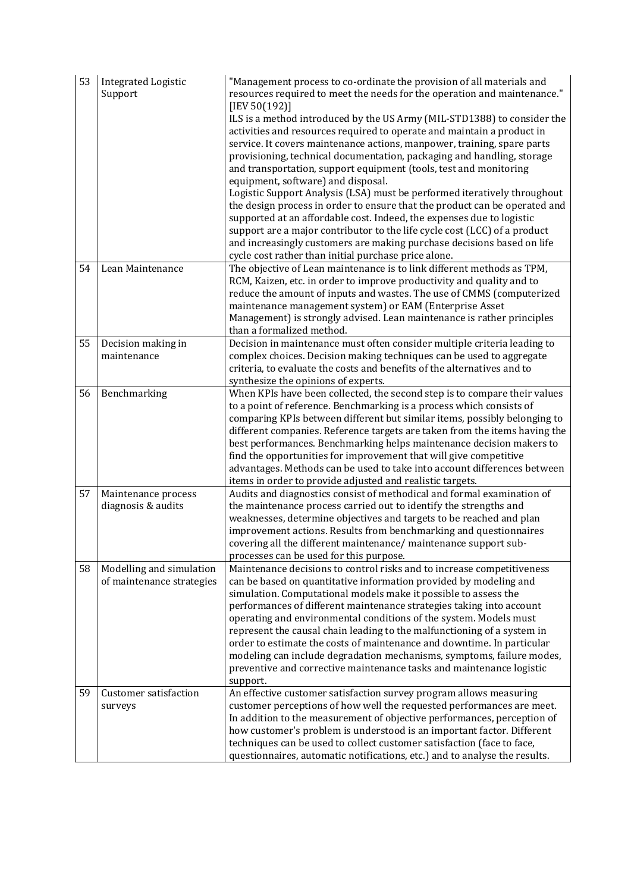| ILS is a method introduced by the US Army (MIL-STD1388) to consider the<br>activities and resources required to operate and maintain a product in                                                                                                                                                                                                                                                                                      |
|----------------------------------------------------------------------------------------------------------------------------------------------------------------------------------------------------------------------------------------------------------------------------------------------------------------------------------------------------------------------------------------------------------------------------------------|
| service. It covers maintenance actions, manpower, training, spare parts                                                                                                                                                                                                                                                                                                                                                                |
| provisioning, technical documentation, packaging and handling, storage                                                                                                                                                                                                                                                                                                                                                                 |
|                                                                                                                                                                                                                                                                                                                                                                                                                                        |
| Logistic Support Analysis (LSA) must be performed iteratively throughout                                                                                                                                                                                                                                                                                                                                                               |
| the design process in order to ensure that the product can be operated and                                                                                                                                                                                                                                                                                                                                                             |
|                                                                                                                                                                                                                                                                                                                                                                                                                                        |
| support are a major contributor to the life cycle cost (LCC) of a product                                                                                                                                                                                                                                                                                                                                                              |
| and increasingly customers are making purchase decisions based on life                                                                                                                                                                                                                                                                                                                                                                 |
|                                                                                                                                                                                                                                                                                                                                                                                                                                        |
| The objective of Lean maintenance is to link different methods as TPM,                                                                                                                                                                                                                                                                                                                                                                 |
| reduce the amount of inputs and wastes. The use of CMMS (computerized                                                                                                                                                                                                                                                                                                                                                                  |
|                                                                                                                                                                                                                                                                                                                                                                                                                                        |
| Management) is strongly advised. Lean maintenance is rather principles                                                                                                                                                                                                                                                                                                                                                                 |
|                                                                                                                                                                                                                                                                                                                                                                                                                                        |
| Decision in maintenance must often consider multiple criteria leading to                                                                                                                                                                                                                                                                                                                                                               |
| complex choices. Decision making techniques can be used to aggregate                                                                                                                                                                                                                                                                                                                                                                   |
|                                                                                                                                                                                                                                                                                                                                                                                                                                        |
| When KPIs have been collected, the second step is to compare their values                                                                                                                                                                                                                                                                                                                                                              |
|                                                                                                                                                                                                                                                                                                                                                                                                                                        |
| comparing KPIs between different but similar items, possibly belonging to                                                                                                                                                                                                                                                                                                                                                              |
| different companies. Reference targets are taken from the items having the                                                                                                                                                                                                                                                                                                                                                             |
| best performances. Benchmarking helps maintenance decision makers to                                                                                                                                                                                                                                                                                                                                                                   |
| advantages. Methods can be used to take into account differences between                                                                                                                                                                                                                                                                                                                                                               |
|                                                                                                                                                                                                                                                                                                                                                                                                                                        |
| Audits and diagnostics consist of methodical and formal examination of                                                                                                                                                                                                                                                                                                                                                                 |
|                                                                                                                                                                                                                                                                                                                                                                                                                                        |
|                                                                                                                                                                                                                                                                                                                                                                                                                                        |
| improvement actions. Results from benchmarking and questionnaires                                                                                                                                                                                                                                                                                                                                                                      |
|                                                                                                                                                                                                                                                                                                                                                                                                                                        |
|                                                                                                                                                                                                                                                                                                                                                                                                                                        |
| Maintenance decisions to control risks and to increase competitiveness                                                                                                                                                                                                                                                                                                                                                                 |
|                                                                                                                                                                                                                                                                                                                                                                                                                                        |
| performances of different maintenance strategies taking into account                                                                                                                                                                                                                                                                                                                                                                   |
|                                                                                                                                                                                                                                                                                                                                                                                                                                        |
| represent the causal chain leading to the malfunctioning of a system in                                                                                                                                                                                                                                                                                                                                                                |
| order to estimate the costs of maintenance and downtime. In particular<br>modeling can include degradation mechanisms, symptoms, failure modes,                                                                                                                                                                                                                                                                                        |
| preventive and corrective maintenance tasks and maintenance logistic                                                                                                                                                                                                                                                                                                                                                                   |
|                                                                                                                                                                                                                                                                                                                                                                                                                                        |
|                                                                                                                                                                                                                                                                                                                                                                                                                                        |
| customer perceptions of how well the requested performances are meet.                                                                                                                                                                                                                                                                                                                                                                  |
| In addition to the measurement of objective performances, perception of                                                                                                                                                                                                                                                                                                                                                                |
| how customer's problem is understood is an important factor. Different                                                                                                                                                                                                                                                                                                                                                                 |
| questionnaires, automatic notifications, etc.) and to analyse the results.                                                                                                                                                                                                                                                                                                                                                             |
| RCM, Kaizen, etc. in order to improve productivity and quality and to<br>weaknesses, determine objectives and targets to be reached and plan<br>can be based on quantitative information provided by modeling and<br>operating and environmental conditions of the system. Models must<br>An effective customer satisfaction survey program allows measuring<br>techniques can be used to collect customer satisfaction (face to face, |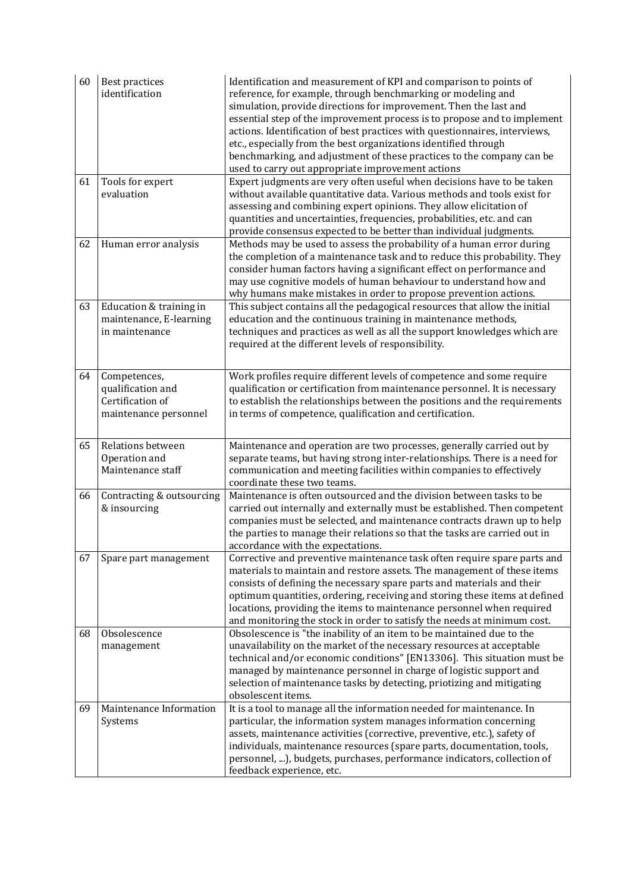| 60 | Best practices<br>identification                                               | Identification and measurement of KPI and comparison to points of<br>reference, for example, through benchmarking or modeling and<br>simulation, provide directions for improvement. Then the last and<br>essential step of the improvement process is to propose and to implement<br>actions. Identification of best practices with questionnaires, interviews,<br>etc., especially from the best organizations identified through<br>benchmarking, and adjustment of these practices to the company can be<br>used to carry out appropriate improvement actions |
|----|--------------------------------------------------------------------------------|-------------------------------------------------------------------------------------------------------------------------------------------------------------------------------------------------------------------------------------------------------------------------------------------------------------------------------------------------------------------------------------------------------------------------------------------------------------------------------------------------------------------------------------------------------------------|
| 61 | Tools for expert<br>evaluation                                                 | Expert judgments are very often useful when decisions have to be taken<br>without available quantitative data. Various methods and tools exist for<br>assessing and combining expert opinions. They allow elicitation of<br>quantities and uncertainties, frequencies, probabilities, etc. and can<br>provide consensus expected to be better than individual judgments.                                                                                                                                                                                          |
| 62 | Human error analysis                                                           | Methods may be used to assess the probability of a human error during<br>the completion of a maintenance task and to reduce this probability. They<br>consider human factors having a significant effect on performance and<br>may use cognitive models of human behaviour to understand how and<br>why humans make mistakes in order to propose prevention actions.                                                                                                                                                                                              |
| 63 | Education & training in<br>maintenance, E-learning<br>in maintenance           | This subject contains all the pedagogical resources that allow the initial<br>education and the continuous training in maintenance methods,<br>techniques and practices as well as all the support knowledges which are<br>required at the different levels of responsibility.                                                                                                                                                                                                                                                                                    |
| 64 | Competences,<br>qualification and<br>Certification of<br>maintenance personnel | Work profiles require different levels of competence and some require<br>qualification or certification from maintenance personnel. It is necessary<br>to establish the relationships between the positions and the requirements<br>in terms of competence, qualification and certification.                                                                                                                                                                                                                                                                      |
| 65 | Relations between<br>Operation and<br>Maintenance staff                        | Maintenance and operation are two processes, generally carried out by<br>separate teams, but having strong inter-relationships. There is a need for<br>communication and meeting facilities within companies to effectively<br>coordinate these two teams.                                                                                                                                                                                                                                                                                                        |
| 66 | Contracting & outsourcing<br>& insourcing                                      | Maintenance is often outsourced and the division between tasks to be<br>carried out internally and externally must be established. Then competent<br>companies must be selected, and maintenance contracts drawn up to help<br>the parties to manage their relations so that the tasks are carried out in<br>accordance with the expectations.                                                                                                                                                                                                                    |
| 67 | Spare part management                                                          | Corrective and preventive maintenance task often require spare parts and<br>materials to maintain and restore assets. The management of these items<br>consists of defining the necessary spare parts and materials and their<br>optimum quantities, ordering, receiving and storing these items at defined<br>locations, providing the items to maintenance personnel when required<br>and monitoring the stock in order to satisfy the needs at minimum cost.                                                                                                   |
| 68 | Obsolescence<br>management                                                     | Obsolescence is "the inability of an item to be maintained due to the<br>unavailability on the market of the necessary resources at acceptable<br>technical and/or economic conditions" [EN13306]. This situation must be<br>managed by maintenance personnel in charge of logistic support and<br>selection of maintenance tasks by detecting, priotizing and mitigating<br>obsolescent items.                                                                                                                                                                   |
| 69 | Maintenance Information<br>Systems                                             | It is a tool to manage all the information needed for maintenance. In<br>particular, the information system manages information concerning<br>assets, maintenance activities (corrective, preventive, etc.), safety of<br>individuals, maintenance resources (spare parts, documentation, tools,<br>personnel, ), budgets, purchases, performance indicators, collection of<br>feedback experience, etc.                                                                                                                                                          |